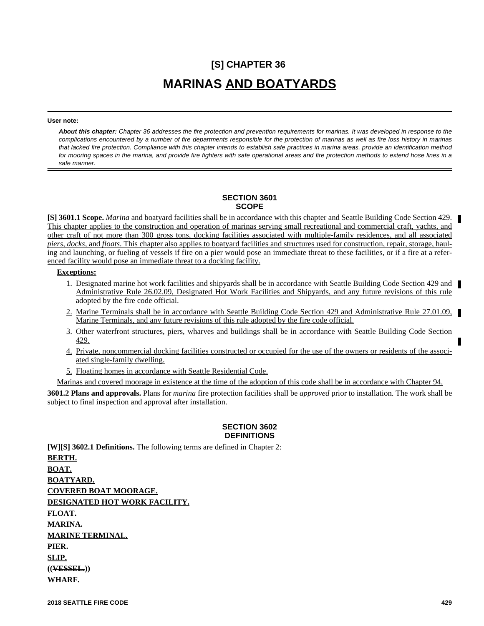# **[S] CHAPTER 36 MARINAS AND BOATYARDS**

**User note:**

*About this chapter: Chapter 36 addresses the fire protection and prevention requirements for marinas. It was developed in response to the complications encountered by a number of fire departments responsible for the protection of marinas as well as fire loss history in marinas that lacked fire protection. Compliance with this chapter intends to establish safe practices in marina areas, provide an identification method for mooring spaces in the marina, and provide fire fighters with safe operational areas and fire protection methods to extend hose lines in a safe manner.*

#### **SECTION 3601 SCOPE**

**[S] 3601.1 Scope.** *Marina* and boatyard facilities shall be in accordance with this chapter and Seattle Building Code Section 429. This chapter applies to the construction and operation of marinas serving small recreational and commercial craft, yachts, and other craft of not more than 300 gross tons, docking facilities associated with multiple-family residences, and all associated *piers, docks,* and *floats*. This chapter also applies to boatyard facilities and structures used for construction, repair, storage, hauling and launching, or fueling of vessels if fire on a pier would pose an immediate threat to these facilities, or if a fire at a referenced facility would pose an immediate threat to a docking facility.

#### **Exceptions:**

- 1. Designated marine hot work facilities and shipyards shall be in accordance with Seattle Building Code Section 429 and Administrative Rule 26.02.09, Designated Hot Work Facilities and Shipyards, and any future revisions of this rule adopted by the fire code official.
- 2. Marine Terminals shall be in accordance with Seattle Building Code Section 429 and Administrative Rule 27.01.09, Marine Terminals, and any future revisions of this rule adopted by the fire code official.
- 3. Other waterfront structures, piers, wharves and buildings shall be in accordance with Seattle Building Code Section 429.
- 4. Private, noncommercial docking facilities constructed or occupied for the use of the owners or residents of the associated single-family dwelling.
- 5. Floating homes in accordance with Seattle Residential Code.

Marinas and covered moorage in existence at the time of the adoption of this code shall be in accordance with Chapter 94.

**3601.2 Plans and approvals.** Plans for *marina* fire protection facilities shall be *approved* prior to installation. The work shall be subject to final inspection and approval after installation.

## **SECTION 3602 DEFINITIONS**

**[W][S] 3602.1 Definitions.** The following terms are defined in Chapter 2: **BERTH. BOAT. BOATYARD. COVERED BOAT MOORAGE. DESIGNATED HOT WORK FACILITY. FLOAT. MARINA. MARINE TERMINAL. PIER. SLIP. ((VESSEL.)) WHARF.**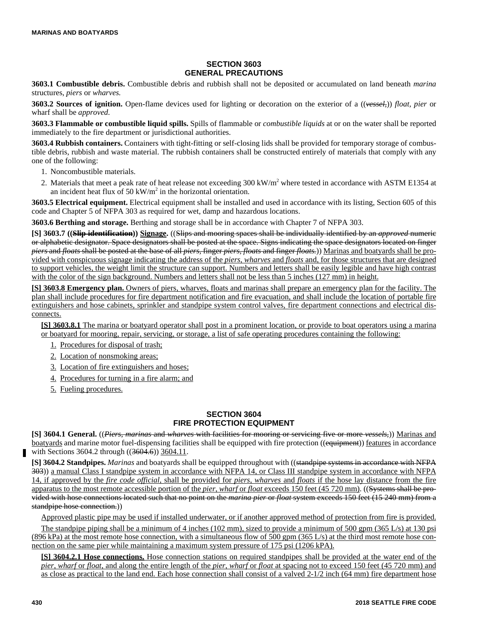# **SECTION 3603 GENERAL PRECAUTIONS**

**3603.1 Combustible debris.** Combustible debris and rubbish shall not be deposited or accumulated on land beneath *marina* structures, *piers* or *wharves.*

**3603.2 Sources of ignition.** Open-flame devices used for lighting or decoration on the exterior of a ((*vessel,*)) *float, pier* or wharf shall be *approved.*

**3603.3 Flammable or combustible liquid spills.** Spills of flammable or *combustible liquids* at or on the water shall be reported immediately to the fire department or jurisdictional authorities.

**3603.4 Rubbish containers.** Containers with tight-fitting or self-closing lids shall be provided for temporary storage of combustible debris, rubbish and waste material. The rubbish containers shall be constructed entirely of materials that comply with any one of the following:

- 1. Noncombustible materials.
- 2. Materials that meet a peak rate of heat release not exceeding  $300 \text{ kW/m}^2$  where tested in accordance with ASTM E1354 at an incident heat flux of 50 kW/ $m<sup>2</sup>$  in the horizontal orientation.

**3603.5 Electrical equipment.** Electrical equipment shall be installed and used in accordance with its listing, Section 605 of this code and Chapter 5 of NFPA 303 as required for wet, damp and hazardous locations.

**3603.6 Berthing and storage.** Berthing and storage shall be in accordance with Chapter 7 of NFPA 303.

**[S] 3603.7 ((Slip identification)) Signage.** ((Slips and mooring spaces shall be individually identified by an *approved* numeric or alphabetic designator. Space designators shall be posted at the space. Signs indicating the space designators located on finger *piers* and *floats* shall be posted at the base of all *piers,* finger *piers, floats* and finger *floats.*)) Marinas and boatyards shall be provided with conspicuous signage indicating the address of the *piers, wharves* and *floats* and, for those structures that are designed to support vehicles, the weight limit the structure can support. Numbers and letters shall be easily legible and have high contrast with the color of the sign background. Numbers and letters shall not be less than 5 inches (127 mm) in height.

**[S] 3603.8 Emergency plan.** Owners of piers, wharves, floats and marinas shall prepare an emergency plan for the facility. The plan shall include procedures for fire department notification and fire evacuation, and shall include the location of portable fire extinguishers and hose cabinets, sprinkler and standpipe system control valves, fire department connections and electrical disconnects.

**[S] 3603.8.1** The marina or boatyard operator shall post in a prominent location, or provide to boat operators using a marina or boatyard for mooring, repair, servicing, or storage, a list of safe operating procedures containing the following:

- 1. Procedures for disposal of trash;
- 2. Location of nonsmoking areas;
- 3. Location of fire extinguishers and hoses;
- 4. Procedures for turning in a fire alarm; and
- 5. Fueling procedures.

#### **SECTION 3604 FIRE PROTECTION EQUIPMENT**

**[S] 3604.1 General.** ((*Piers*, *marinas* and *wharves* with facilities for mooring or servicing five or more *vessels*,)) Marinas and boatyards and marine motor fuel-dispensing facilities shall be equipped with fire protection ((equipment)) features in accordance with Sections 3604.2 through ((3604.6)) 3604.11.

**[S] 3604.2 Standpipes.** *Marinas* and boatyards shall be equipped throughout with ((standpipe systems in accordance with NFPA 303)) a manual Class I standpipe system in accordance with NFPA 14, or Class III standpipe system in accordance with NFPA 14, if approved by the *fire code official,* shall be provided for *piers, wharves* and *floats* if the hose lay distance from the fire apparatus to the most remote accessible portion of the *pier, wharf* or *float* exceeds 150 feet (45 720 mm). ((Systems shall be provided with hose connections located such that no point on the *marina pier* or *float* system exceeds 150 feet (15 240 mm) from a standpipe hose connection.))

Approved plastic pipe may be used if installed underwater, or if another approved method of protection from fire is provided.

The standpipe piping shall be a minimum of 4 inches ( $102 \text{ mm}$ ), sized to provide a minimum of 500 gpm ( $365 \text{ L/s}$ ) at  $130 \text{ psi}$ (896 kPa) at the most remote hose connection, with a simultaneous flow of 500 gpm (365 L/s) at the third most remote hose connection on the same pier while maintaining a maximum system pressure of 175 psi (1206 kPA).

**[S] 3604.2.1 Hose connections.** Hose connection stations on required standpipes shall be provided at the water end of the *pier, wharf* or *float,* and along the entire length of the *pier, wharf* or *float* at spacing not to exceed 150 feet (45 720 mm) and as close as practical to the land end. Each hose connection shall consist of a valved 2-1/2 inch (64 mm) fire department hose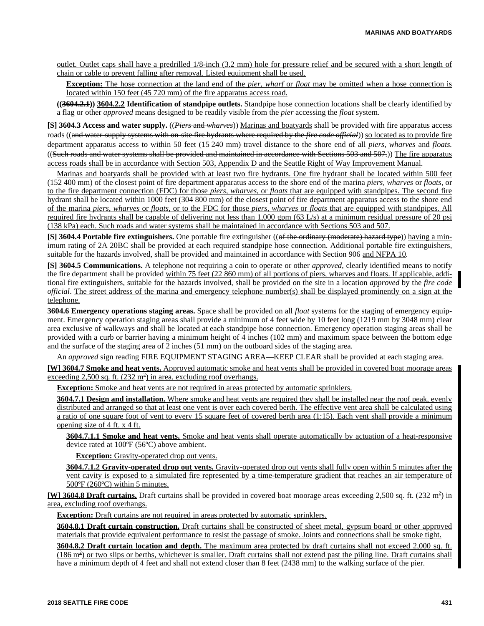outlet. Outlet caps shall have a predrilled 1/8-inch (3.2 mm) hole for pressure relief and be secured with a short length of chain or cable to prevent falling after removal. Listed equipment shall be used.

**Exception:** The hose connection at the land end of the *pier, wharf* or *float* may be omitted when a hose connection is located within 150 feet (45 720 mm) of the fire apparatus access road.

**((3604.2.1)) 3604.2.2 Identification of standpipe outlets.** Standpipe hose connection locations shall be clearly identified by a flag or other *approved* means designed to be readily visible from the *pier* accessing the *float* system.

**[S] 3604.3 Access and water supply.** ((*Piers* and *wharves*)) Marinas and boatyards shall be provided with fire apparatus access roads ((and water-supply systems with on-site fire hydrants where required by the *fire code official*)) so located as to provide fire department apparatus access to within 50 feet (15 240 mm) travel distance to the shore end of all *piers, wharves* and *floats.* ((Such roads and water systems shall be provided and maintained in accordance with Sections 503 and 507.)) The fire apparatus access roads shall be in accordance with Section 503, Appendix D and the Seattle Right of Way Improvement Manual.

Marinas and boatyards shall be provided with at least two fire hydrants. One fire hydrant shall be located within 500 feet (152 400 mm) of the closest point of fire department apparatus access to the shore end of the marina *piers, wharves* or *floats*, or to the fire department connection (FDC) for those *piers, wharves,* or *floats* that are equipped with standpipes. The second fire hydrant shall be located within 1000 feet (304 800 mm) of the closest point of fire department apparatus access to the shore end of the marina *piers, wharves* or *floats*, or to the FDC for those *piers, wharves* or *floats* that are equipped with standpipes. All required fire hydrants shall be capable of delivering not less than 1,000 gpm (63 L/s) at a minimum residual pressure of 20 psi (138 kPa) each. Such roads and water systems shall be maintained in accordance with Sections 503 and 507.

**[S] 3604.4 Portable fire extinguishers.** One portable fire extinguisher ((of the ordinary (moderate) hazard type)) having a minimum rating of 2A 20BC shall be provided at each required standpipe hose connection. Additional portable fire extinguishers, suitable for the hazards involved, shall be provided and maintained in accordance with Section 906 and NFPA 10.

**[S] 3604.5 Communications.** A telephone not requiring a coin to operate or other *approved*, clearly identified means to notify the fire department shall be provided within 75 feet (22 860 mm) of all portions of piers, wharves and floats. If applicable, additional fire extinguishers, suitable for the hazards involved, shall be provided on the site in a location *approved* by the *fire code official*. The street address of the marina and emergency telephone number(s) shall be displayed prominently on a sign at the telephone.

**3604.6 Emergency operations staging areas.** Space shall be provided on all *float* systems for the staging of emergency equipment. Emergency operation staging areas shall provide a minimum of 4 feet wide by 10 feet long (1219 mm by 3048 mm) clear area exclusive of walkways and shall be located at each standpipe hose connection. Emergency operation staging areas shall be provided with a curb or barrier having a minimum height of 4 inches (102 mm) and maximum space between the bottom edge and the surface of the staging area of 2 inches (51 mm) on the outboard sides of the staging area.

An *approved* sign reading FIRE EQUIPMENT STAGING AREA—KEEP CLEAR shall be provided at each staging area.

**[W] 3604.7 Smoke and heat vents.** Approved automatic smoke and heat vents shall be provided in covered boat moorage areas exceeding  $2,500$  sq. ft.  $(232 \text{ m}^2)$  in area, excluding roof overhangs.

**Exception:** Smoke and heat vents are not required in areas protected by automatic sprinklers.

**3604.7.1 Design and installation.** Where smoke and heat vents are required they shall be installed near the roof peak, evenly distributed and arranged so that at least one vent is over each covered berth. The effective vent area shall be calculated using a ratio of one square foot of vent to every 15 square feet of covered berth area (1:15). Each vent shall provide a minimum opening size of 4 ft. x 4 ft.

**3604.7.1.1 Smoke and heat vents.** Smoke and heat vents shall operate automatically by actuation of a heat-responsive device rated at 100ºF (56ºC) above ambient.

**Exception:** Gravity-operated drop out vents.

**3604.7.1.2 Gravity-operated drop out vents.** Gravity-operated drop out vents shall fully open within 5 minutes after the vent cavity is exposed to a simulated fire represented by a time-temperature gradient that reaches an air temperature of 500ºF (260ºC) within 5 minutes.

**[W] 3604.8 Draft curtains.** Draft curtains shall be provided in covered boat moorage areas exceeding 2,500 sq. ft. (232 m<sup>2</sup>) in area, excluding roof overhangs.

**Exception:** Draft curtains are not required in areas protected by automatic sprinklers.

**3604.8.1 Draft curtain construction.** Draft curtains shall be constructed of sheet metal, gypsum board or other approved materials that provide equivalent performance to resist the passage of smoke. Joints and connections shall be smoke tight.

**3604.8.2 Draft curtain location and depth.** The maximum area protected by draft curtains shall not exceed 2,000 sq. ft.  $(186 \text{ m}^2)$  or two slips or berths, whichever is smaller. Draft curtains shall not extend past the piling line. Draft curtains shall have a minimum depth of 4 feet and shall not extend closer than 8 feet (2438 mm) to the walking surface of the pier.